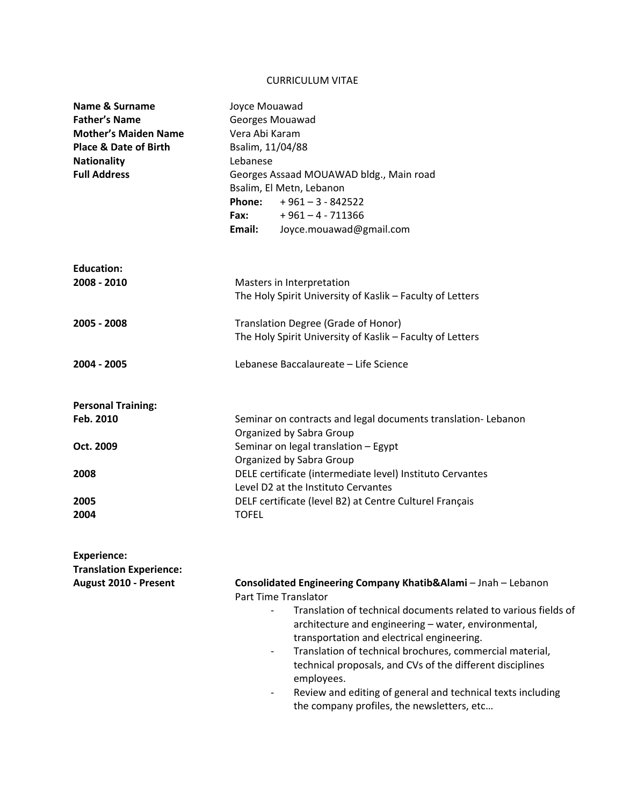## CURRICULUM VITAE

| Name & Surname<br><b>Father's Name</b><br><b>Mother's Maiden Name</b><br><b>Place &amp; Date of Birth</b><br><b>Nationality</b><br><b>Full Address</b> | Joyce Mouawad<br>Georges Mouawad<br>Vera Abi Karam<br>Bsalim, 11/04/88<br>Lebanese<br>Georges Assaad MOUAWAD bldg., Main road<br>Bsalim, El Metn, Lebanon<br>Phone:<br>$+961 - 3 - 842522$<br>$+961 - 4 - 711366$<br>Fax: The Sea<br>Joyce.mouawad@gmail.com<br>Email:                                                                                                                                                                                                                                                                                 |  |  |  |  |
|--------------------------------------------------------------------------------------------------------------------------------------------------------|--------------------------------------------------------------------------------------------------------------------------------------------------------------------------------------------------------------------------------------------------------------------------------------------------------------------------------------------------------------------------------------------------------------------------------------------------------------------------------------------------------------------------------------------------------|--|--|--|--|
| <b>Education:</b><br>2008 - 2010                                                                                                                       | Masters in Interpretation<br>The Holy Spirit University of Kaslik - Faculty of Letters                                                                                                                                                                                                                                                                                                                                                                                                                                                                 |  |  |  |  |
| 2005 - 2008                                                                                                                                            | Translation Degree (Grade of Honor)<br>The Holy Spirit University of Kaslik - Faculty of Letters                                                                                                                                                                                                                                                                                                                                                                                                                                                       |  |  |  |  |
| 2004 - 2005                                                                                                                                            | Lebanese Baccalaureate - Life Science                                                                                                                                                                                                                                                                                                                                                                                                                                                                                                                  |  |  |  |  |
| <b>Personal Training:</b>                                                                                                                              |                                                                                                                                                                                                                                                                                                                                                                                                                                                                                                                                                        |  |  |  |  |
| Feb. 2010                                                                                                                                              | Seminar on contracts and legal documents translation-Lebanon<br>Organized by Sabra Group                                                                                                                                                                                                                                                                                                                                                                                                                                                               |  |  |  |  |
| Oct. 2009                                                                                                                                              | Seminar on legal translation - Egypt<br>Organized by Sabra Group                                                                                                                                                                                                                                                                                                                                                                                                                                                                                       |  |  |  |  |
| 2008                                                                                                                                                   | DELE certificate (intermediate level) Instituto Cervantes<br>Level D2 at the Instituto Cervantes                                                                                                                                                                                                                                                                                                                                                                                                                                                       |  |  |  |  |
| 2005<br>2004                                                                                                                                           | DELF certificate (level B2) at Centre Culturel Français<br><b>TOFEL</b>                                                                                                                                                                                                                                                                                                                                                                                                                                                                                |  |  |  |  |
| <b>Experience:</b><br><b>Translation Experience:</b>                                                                                                   |                                                                                                                                                                                                                                                                                                                                                                                                                                                                                                                                                        |  |  |  |  |
| August 2010 - Present                                                                                                                                  | Consolidated Engineering Company Khatib&Alami - Jnah - Lebanon<br><b>Part Time Translator</b><br>Translation of technical documents related to various fields of<br>architecture and engineering - water, environmental,<br>transportation and electrical engineering.<br>Translation of technical brochures, commercial material,<br>$\overline{\phantom{a}}$<br>technical proposals, and CVs of the different disciplines<br>employees.<br>Review and editing of general and technical texts including<br>the company profiles, the newsletters, etc |  |  |  |  |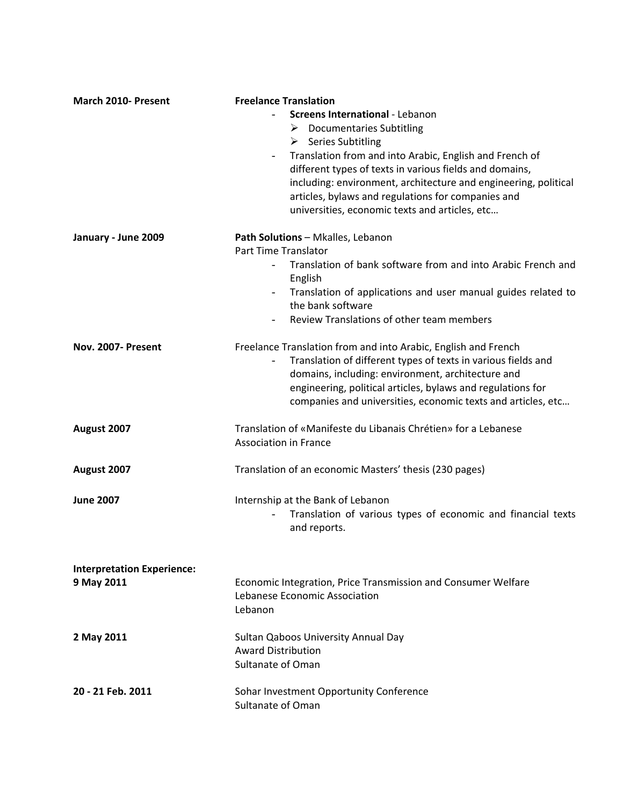| <b>March 2010- Present</b>                      | <b>Freelance Translation</b><br><b>Screens International - Lebanon</b><br>$\triangleright$ Documentaries Subtitling<br>$\triangleright$ Series Subtitling<br>Translation from and into Arabic, English and French of<br>$\overline{\phantom{0}}$<br>different types of texts in various fields and domains,<br>including: environment, architecture and engineering, political<br>articles, bylaws and regulations for companies and<br>universities, economic texts and articles, etc |  |  |  |  |
|-------------------------------------------------|----------------------------------------------------------------------------------------------------------------------------------------------------------------------------------------------------------------------------------------------------------------------------------------------------------------------------------------------------------------------------------------------------------------------------------------------------------------------------------------|--|--|--|--|
| January - June 2009                             | Path Solutions - Mkalles, Lebanon<br>Part Time Translator<br>Translation of bank software from and into Arabic French and<br>$\overline{\phantom{0}}$<br>English<br>Translation of applications and user manual guides related to<br>the bank software<br>Review Translations of other team members                                                                                                                                                                                    |  |  |  |  |
| Nov. 2007- Present                              | Freelance Translation from and into Arabic, English and French<br>Translation of different types of texts in various fields and<br>domains, including: environment, architecture and<br>engineering, political articles, bylaws and regulations for<br>companies and universities, economic texts and articles, etc                                                                                                                                                                    |  |  |  |  |
| August 2007                                     | Translation of «Manifeste du Libanais Chrétien» for a Lebanese<br><b>Association in France</b>                                                                                                                                                                                                                                                                                                                                                                                         |  |  |  |  |
| August 2007                                     | Translation of an economic Masters' thesis (230 pages)                                                                                                                                                                                                                                                                                                                                                                                                                                 |  |  |  |  |
| <b>June 2007</b>                                | Internship at the Bank of Lebanon<br>Translation of various types of economic and financial texts<br>and reports.                                                                                                                                                                                                                                                                                                                                                                      |  |  |  |  |
| <b>Interpretation Experience:</b><br>9 May 2011 | Economic Integration, Price Transmission and Consumer Welfare<br>Lebanese Economic Association<br>Lebanon                                                                                                                                                                                                                                                                                                                                                                              |  |  |  |  |
| 2 May 2011                                      | Sultan Qaboos University Annual Day<br><b>Award Distribution</b><br>Sultanate of Oman                                                                                                                                                                                                                                                                                                                                                                                                  |  |  |  |  |
| 20 - 21 Feb. 2011                               | Sohar Investment Opportunity Conference<br>Sultanate of Oman                                                                                                                                                                                                                                                                                                                                                                                                                           |  |  |  |  |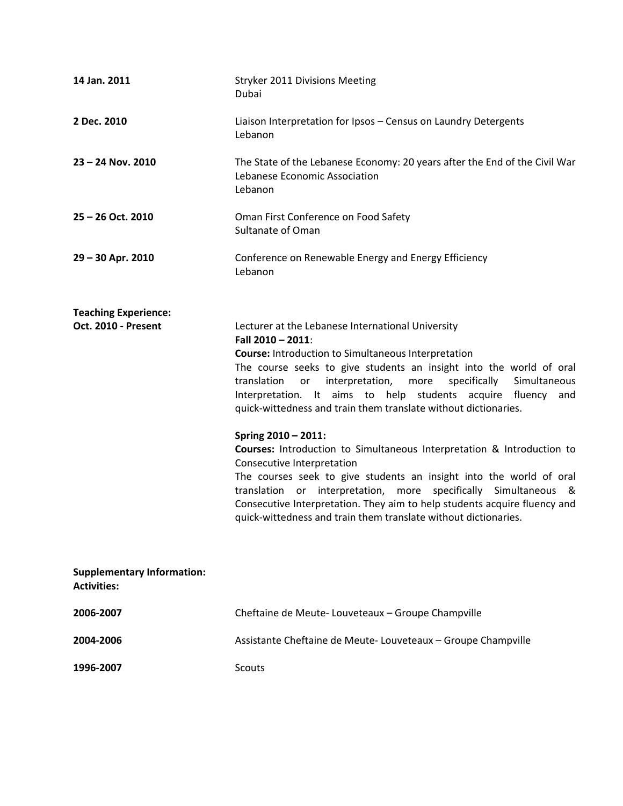| 14 Jan. 2011                                            | Stryker 2011 Divisions Meeting<br>Dubai                                                                                                                                                                                                                                                                                                                                                                                                                                                                                                                                                                                                                                                                                                                                                                                                                        |  |  |  |
|---------------------------------------------------------|----------------------------------------------------------------------------------------------------------------------------------------------------------------------------------------------------------------------------------------------------------------------------------------------------------------------------------------------------------------------------------------------------------------------------------------------------------------------------------------------------------------------------------------------------------------------------------------------------------------------------------------------------------------------------------------------------------------------------------------------------------------------------------------------------------------------------------------------------------------|--|--|--|
| 2 Dec. 2010                                             | Liaison Interpretation for Ipsos - Census on Laundry Detergents<br>Lebanon                                                                                                                                                                                                                                                                                                                                                                                                                                                                                                                                                                                                                                                                                                                                                                                     |  |  |  |
| $23 - 24$ Nov. 2010                                     | The State of the Lebanese Economy: 20 years after the End of the Civil War<br>Lebanese Economic Association<br>Lebanon                                                                                                                                                                                                                                                                                                                                                                                                                                                                                                                                                                                                                                                                                                                                         |  |  |  |
| 25 - 26 Oct. 2010                                       | Oman First Conference on Food Safety<br><b>Sultanate of Oman</b>                                                                                                                                                                                                                                                                                                                                                                                                                                                                                                                                                                                                                                                                                                                                                                                               |  |  |  |
| 29 - 30 Apr. 2010                                       | Conference on Renewable Energy and Energy Efficiency<br>Lebanon                                                                                                                                                                                                                                                                                                                                                                                                                                                                                                                                                                                                                                                                                                                                                                                                |  |  |  |
| <b>Teaching Experience:</b><br>Oct. 2010 - Present      | Lecturer at the Lebanese International University<br>Fall 2010 - 2011:<br><b>Course:</b> Introduction to Simultaneous Interpretation<br>The course seeks to give students an insight into the world of oral<br>translation<br>interpretation,<br>specifically<br>Simultaneous<br>more<br>or<br>Interpretation. It aims to help students acquire fluency and<br>quick-wittedness and train them translate without dictionaries.<br>Spring 2010 - 2011:<br><b>Courses:</b> Introduction to Simultaneous Interpretation & Introduction to<br>Consecutive Interpretation<br>The courses seek to give students an insight into the world of oral<br>translation or interpretation, more specifically Simultaneous &<br>Consecutive Interpretation. They aim to help students acquire fluency and<br>quick-wittedness and train them translate without dictionaries. |  |  |  |
| <b>Supplementary Information:</b><br><b>Activities:</b> |                                                                                                                                                                                                                                                                                                                                                                                                                                                                                                                                                                                                                                                                                                                                                                                                                                                                |  |  |  |
| 2006-2007                                               | Cheftaine de Meute-Louveteaux - Groupe Champville                                                                                                                                                                                                                                                                                                                                                                                                                                                                                                                                                                                                                                                                                                                                                                                                              |  |  |  |
| 2004-2006                                               | Assistante Cheftaine de Meute-Louveteaux - Groupe Champville                                                                                                                                                                                                                                                                                                                                                                                                                                                                                                                                                                                                                                                                                                                                                                                                   |  |  |  |
| 1996-2007                                               | <b>Scouts</b>                                                                                                                                                                                                                                                                                                                                                                                                                                                                                                                                                                                                                                                                                                                                                                                                                                                  |  |  |  |